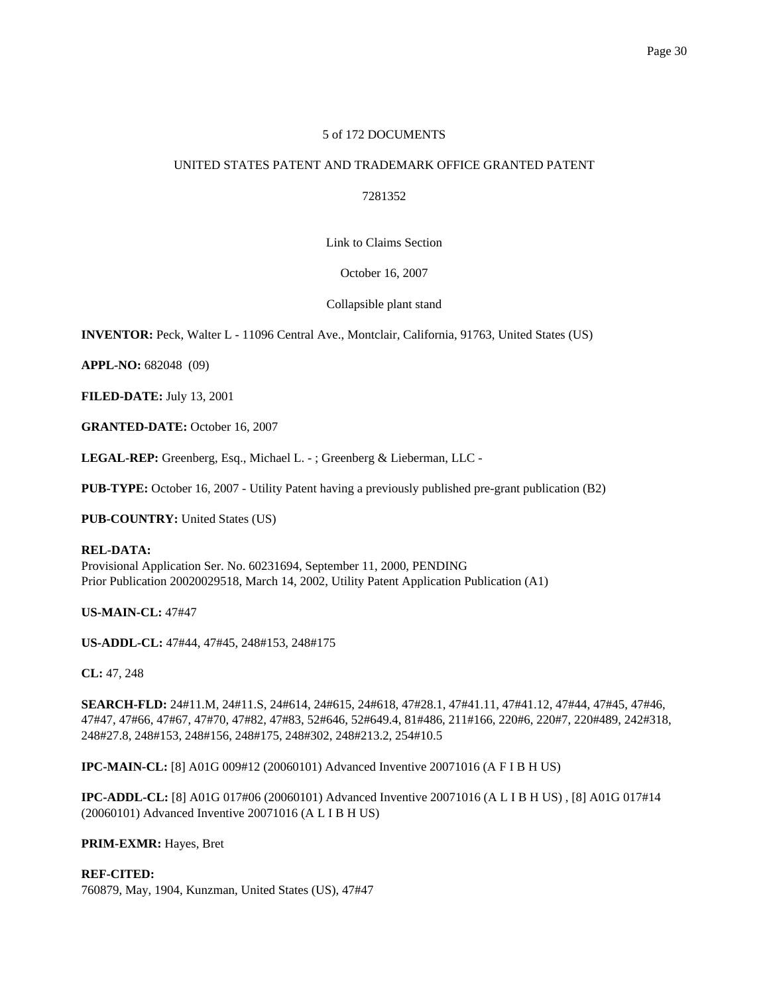# 5 of 172 DOCUMENTS

# UNITED STATES PATENT AND TRADEMARK OFFICE GRANTED PATENT

7281352

Link to Claims Section

October 16, 2007

Collapsible plant stand

**INVENTOR:** Peck, Walter L - 11096 Central Ave., Montclair, California, 91763, United States (US)

**APPL-NO:** 682048 (09)

**FILED-DATE:** July 13, 2001

**GRANTED-DATE:** October 16, 2007

**LEGAL-REP:** Greenberg, Esq., Michael L. - ; Greenberg & Lieberman, LLC -

**PUB-TYPE:** October 16, 2007 - Utility Patent having a previously published pre-grant publication (B2)

**PUB-COUNTRY:** United States (US)

# **REL-DATA:**

Provisional Application Ser. No. 60231694, September 11, 2000, PENDING Prior Publication 20020029518, March 14, 2002, Utility Patent Application Publication (A1)

**US-MAIN-CL:** 47#47

**US-ADDL-CL:** 47#44, 47#45, 248#153, 248#175

**CL:** 47, 248

**SEARCH-FLD:** 24#11.M, 24#11.S, 24#614, 24#615, 24#618, 47#28.1, 47#41.11, 47#41.12, 47#44, 47#45, 47#46, 47#47, 47#66, 47#67, 47#70, 47#82, 47#83, 52#646, 52#649.4, 81#486, 211#166, 220#6, 220#7, 220#489, 242#318, 248#27.8, 248#153, 248#156, 248#175, 248#302, 248#213.2, 254#10.5

**IPC-MAIN-CL:** [8] A01G 009#12 (20060101) Advanced Inventive 20071016 (A F I B H US)

**IPC-ADDL-CL:** [8] A01G 017#06 (20060101) Advanced Inventive 20071016 (A L I B H US) , [8] A01G 017#14 (20060101) Advanced Inventive 20071016 (A L I B H US)

# **PRIM-EXMR:** Hayes, Bret

# **REF-CITED:**

760879, May, 1904, Kunzman, United States (US), 47#47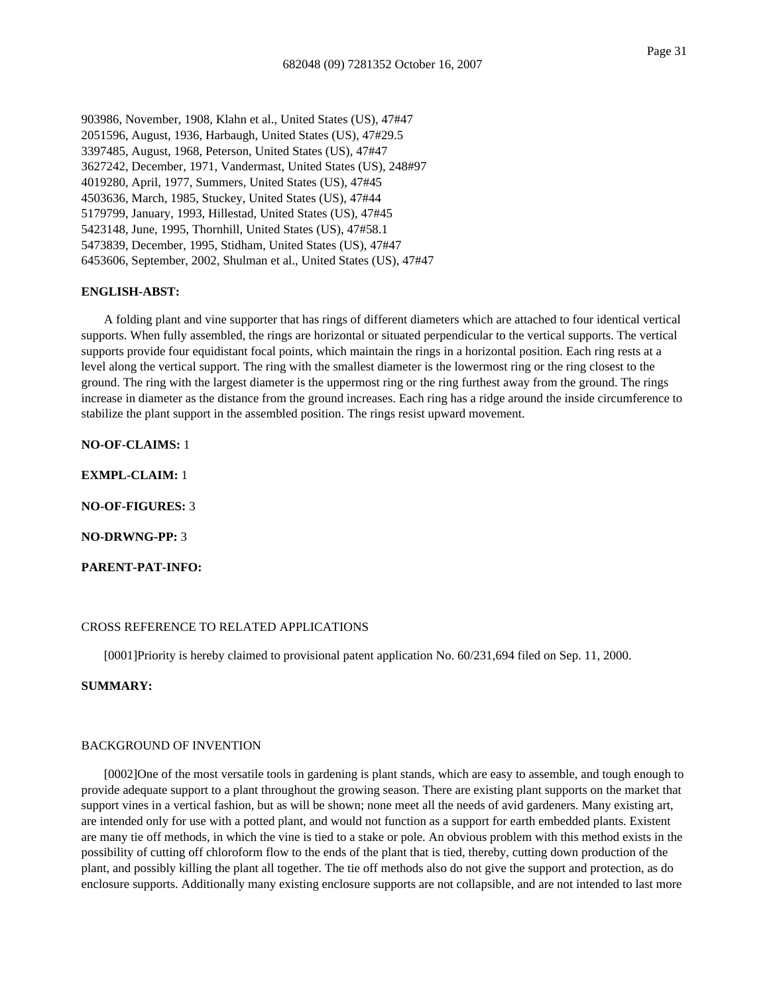903986, November, 1908, Klahn et al., United States (US), 47#47 2051596, August, 1936, Harbaugh, United States (US), 47#29.5 3397485, August, 1968, Peterson, United States (US), 47#47 3627242, December, 1971, Vandermast, United States (US), 248#97 4019280, April, 1977, Summers, United States (US), 47#45 4503636, March, 1985, Stuckey, United States (US), 47#44 5179799, January, 1993, Hillestad, United States (US), 47#45 5423148, June, 1995, Thornhill, United States (US), 47#58.1 5473839, December, 1995, Stidham, United States (US), 47#47 6453606, September, 2002, Shulman et al., United States (US), 47#47

#### **ENGLISH-ABST:**

A folding plant and vine supporter that has rings of different diameters which are attached to four identical vertical supports. When fully assembled, the rings are horizontal or situated perpendicular to the vertical supports. The vertical supports provide four equidistant focal points, which maintain the rings in a horizontal position. Each ring rests at a level along the vertical support. The ring with the smallest diameter is the lowermost ring or the ring closest to the ground. The ring with the largest diameter is the uppermost ring or the ring furthest away from the ground. The rings increase in diameter as the distance from the ground increases. Each ring has a ridge around the inside circumference to stabilize the plant support in the assembled position. The rings resist upward movement.

**NO-OF-CLAIMS:** 1

**EXMPL-CLAIM:** 1

**NO-OF-FIGURES:** 3

**NO-DRWNG-PP:** 3

**PARENT-PAT-INFO:**

# CROSS REFERENCE TO RELATED APPLICATIONS

[0001]Priority is hereby claimed to provisional patent application No. 60/231,694 filed on Sep. 11, 2000.

# **SUMMARY:**

# BACKGROUND OF INVENTION

[0002]One of the most versatile tools in gardening is plant stands, which are easy to assemble, and tough enough to provide adequate support to a plant throughout the growing season. There are existing plant supports on the market that support vines in a vertical fashion, but as will be shown; none meet all the needs of avid gardeners. Many existing art, are intended only for use with a potted plant, and would not function as a support for earth embedded plants. Existent are many tie off methods, in which the vine is tied to a stake or pole. An obvious problem with this method exists in the possibility of cutting off chloroform flow to the ends of the plant that is tied, thereby, cutting down production of the plant, and possibly killing the plant all together. The tie off methods also do not give the support and protection, as do enclosure supports. Additionally many existing enclosure supports are not collapsible, and are not intended to last more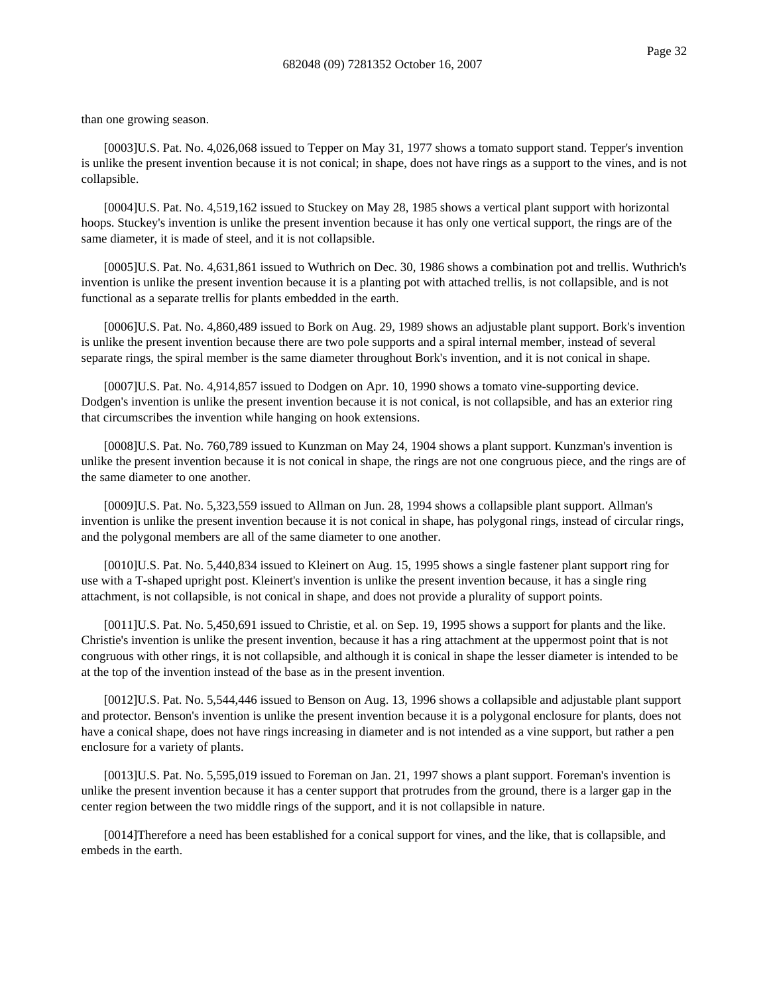than one growing season.

[0003]U.S. Pat. No. 4,026,068 issued to Tepper on May 31, 1977 shows a tomato support stand. Tepper's invention is unlike the present invention because it is not conical; in shape, does not have rings as a support to the vines, and is not collapsible.

[0004]U.S. Pat. No. 4,519,162 issued to Stuckey on May 28, 1985 shows a vertical plant support with horizontal hoops. Stuckey's invention is unlike the present invention because it has only one vertical support, the rings are of the same diameter, it is made of steel, and it is not collapsible.

[0005]U.S. Pat. No. 4,631,861 issued to Wuthrich on Dec. 30, 1986 shows a combination pot and trellis. Wuthrich's invention is unlike the present invention because it is a planting pot with attached trellis, is not collapsible, and is not functional as a separate trellis for plants embedded in the earth.

[0006]U.S. Pat. No. 4,860,489 issued to Bork on Aug. 29, 1989 shows an adjustable plant support. Bork's invention is unlike the present invention because there are two pole supports and a spiral internal member, instead of several separate rings, the spiral member is the same diameter throughout Bork's invention, and it is not conical in shape.

[0007]U.S. Pat. No. 4,914,857 issued to Dodgen on Apr. 10, 1990 shows a tomato vine-supporting device. Dodgen's invention is unlike the present invention because it is not conical, is not collapsible, and has an exterior ring that circumscribes the invention while hanging on hook extensions.

[0008]U.S. Pat. No. 760,789 issued to Kunzman on May 24, 1904 shows a plant support. Kunzman's invention is unlike the present invention because it is not conical in shape, the rings are not one congruous piece, and the rings are of the same diameter to one another.

[0009]U.S. Pat. No. 5,323,559 issued to Allman on Jun. 28, 1994 shows a collapsible plant support. Allman's invention is unlike the present invention because it is not conical in shape, has polygonal rings, instead of circular rings, and the polygonal members are all of the same diameter to one another.

[0010]U.S. Pat. No. 5,440,834 issued to Kleinert on Aug. 15, 1995 shows a single fastener plant support ring for use with a T-shaped upright post. Kleinert's invention is unlike the present invention because, it has a single ring attachment, is not collapsible, is not conical in shape, and does not provide a plurality of support points.

[0011]U.S. Pat. No. 5,450,691 issued to Christie, et al. on Sep. 19, 1995 shows a support for plants and the like. Christie's invention is unlike the present invention, because it has a ring attachment at the uppermost point that is not congruous with other rings, it is not collapsible, and although it is conical in shape the lesser diameter is intended to be at the top of the invention instead of the base as in the present invention.

[0012]U.S. Pat. No. 5,544,446 issued to Benson on Aug. 13, 1996 shows a collapsible and adjustable plant support and protector. Benson's invention is unlike the present invention because it is a polygonal enclosure for plants, does not have a conical shape, does not have rings increasing in diameter and is not intended as a vine support, but rather a pen enclosure for a variety of plants.

[0013]U.S. Pat. No. 5,595,019 issued to Foreman on Jan. 21, 1997 shows a plant support. Foreman's invention is unlike the present invention because it has a center support that protrudes from the ground, there is a larger gap in the center region between the two middle rings of the support, and it is not collapsible in nature.

[0014]Therefore a need has been established for a conical support for vines, and the like, that is collapsible, and embeds in the earth.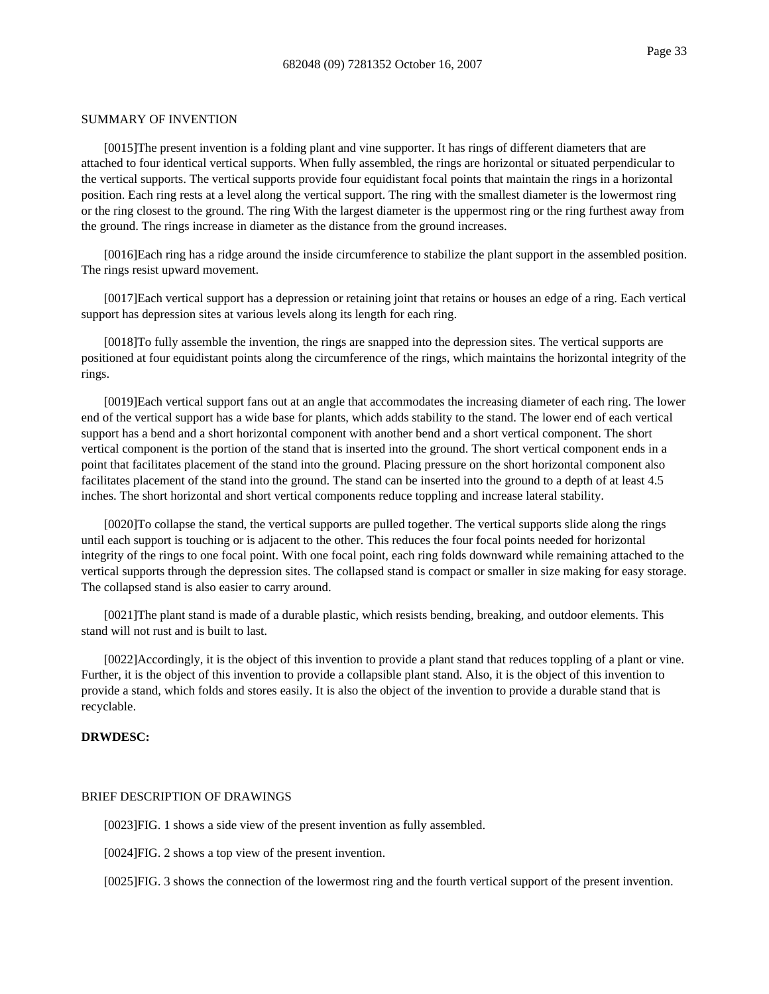#### SUMMARY OF INVENTION

[0015]The present invention is a folding plant and vine supporter. It has rings of different diameters that are attached to four identical vertical supports. When fully assembled, the rings are horizontal or situated perpendicular to the vertical supports. The vertical supports provide four equidistant focal points that maintain the rings in a horizontal position. Each ring rests at a level along the vertical support. The ring with the smallest diameter is the lowermost ring or the ring closest to the ground. The ring With the largest diameter is the uppermost ring or the ring furthest away from the ground. The rings increase in diameter as the distance from the ground increases.

[0016]Each ring has a ridge around the inside circumference to stabilize the plant support in the assembled position. The rings resist upward movement.

[0017]Each vertical support has a depression or retaining joint that retains or houses an edge of a ring. Each vertical support has depression sites at various levels along its length for each ring.

[0018]To fully assemble the invention, the rings are snapped into the depression sites. The vertical supports are positioned at four equidistant points along the circumference of the rings, which maintains the horizontal integrity of the rings.

[0019]Each vertical support fans out at an angle that accommodates the increasing diameter of each ring. The lower end of the vertical support has a wide base for plants, which adds stability to the stand. The lower end of each vertical support has a bend and a short horizontal component with another bend and a short vertical component. The short vertical component is the portion of the stand that is inserted into the ground. The short vertical component ends in a point that facilitates placement of the stand into the ground. Placing pressure on the short horizontal component also facilitates placement of the stand into the ground. The stand can be inserted into the ground to a depth of at least 4.5 inches. The short horizontal and short vertical components reduce toppling and increase lateral stability.

[0020]To collapse the stand, the vertical supports are pulled together. The vertical supports slide along the rings until each support is touching or is adjacent to the other. This reduces the four focal points needed for horizontal integrity of the rings to one focal point. With one focal point, each ring folds downward while remaining attached to the vertical supports through the depression sites. The collapsed stand is compact or smaller in size making for easy storage. The collapsed stand is also easier to carry around.

[0021]The plant stand is made of a durable plastic, which resists bending, breaking, and outdoor elements. This stand will not rust and is built to last.

[0022]Accordingly, it is the object of this invention to provide a plant stand that reduces toppling of a plant or vine. Further, it is the object of this invention to provide a collapsible plant stand. Also, it is the object of this invention to provide a stand, which folds and stores easily. It is also the object of the invention to provide a durable stand that is recyclable.

### **DRWDESC:**

### BRIEF DESCRIPTION OF DRAWINGS

[0023]FIG. 1 shows a side view of the present invention as fully assembled.

[0024]FIG. 2 shows a top view of the present invention.

[0025]FIG. 3 shows the connection of the lowermost ring and the fourth vertical support of the present invention.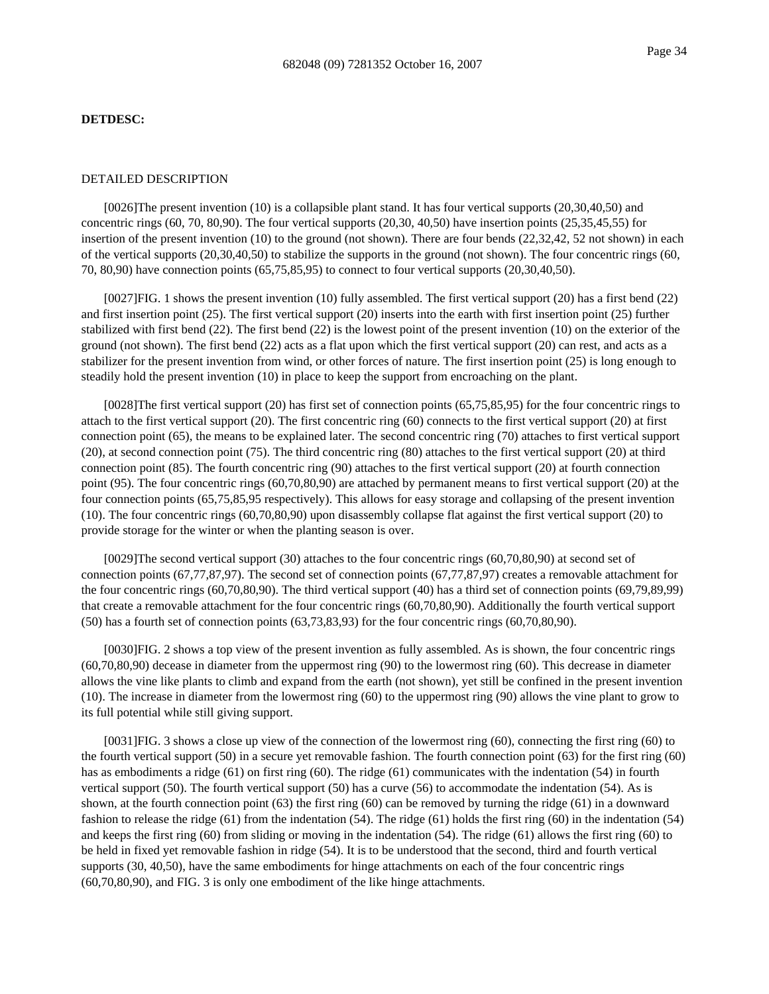#### **DETDESC:**

# DETAILED DESCRIPTION

[0026]The present invention (10) is a collapsible plant stand. It has four vertical supports (20,30,40,50) and concentric rings (60, 70, 80,90). The four vertical supports (20,30, 40,50) have insertion points (25,35,45,55) for insertion of the present invention (10) to the ground (not shown). There are four bends (22,32,42, 52 not shown) in each of the vertical supports (20,30,40,50) to stabilize the supports in the ground (not shown). The four concentric rings (60, 70, 80,90) have connection points (65,75,85,95) to connect to four vertical supports (20,30,40,50).

[0027]FIG. 1 shows the present invention (10) fully assembled. The first vertical support (20) has a first bend (22) and first insertion point (25). The first vertical support (20) inserts into the earth with first insertion point (25) further stabilized with first bend (22). The first bend (22) is the lowest point of the present invention (10) on the exterior of the ground (not shown). The first bend (22) acts as a flat upon which the first vertical support (20) can rest, and acts as a stabilizer for the present invention from wind, or other forces of nature. The first insertion point (25) is long enough to steadily hold the present invention (10) in place to keep the support from encroaching on the plant.

[0028]The first vertical support (20) has first set of connection points (65,75,85,95) for the four concentric rings to attach to the first vertical support (20). The first concentric ring (60) connects to the first vertical support (20) at first connection point (65), the means to be explained later. The second concentric ring (70) attaches to first vertical support (20), at second connection point (75). The third concentric ring (80) attaches to the first vertical support (20) at third connection point (85). The fourth concentric ring (90) attaches to the first vertical support (20) at fourth connection point (95). The four concentric rings (60,70,80,90) are attached by permanent means to first vertical support (20) at the four connection points (65,75,85,95 respectively). This allows for easy storage and collapsing of the present invention (10). The four concentric rings (60,70,80,90) upon disassembly collapse flat against the first vertical support (20) to provide storage for the winter or when the planting season is over.

[0029]The second vertical support (30) attaches to the four concentric rings (60,70,80,90) at second set of connection points (67,77,87,97). The second set of connection points (67,77,87,97) creates a removable attachment for the four concentric rings (60,70,80,90). The third vertical support (40) has a third set of connection points (69,79,89,99) that create a removable attachment for the four concentric rings (60,70,80,90). Additionally the fourth vertical support (50) has a fourth set of connection points (63,73,83,93) for the four concentric rings (60,70,80,90).

[0030]FIG. 2 shows a top view of the present invention as fully assembled. As is shown, the four concentric rings (60,70,80,90) decease in diameter from the uppermost ring (90) to the lowermost ring (60). This decrease in diameter allows the vine like plants to climb and expand from the earth (not shown), yet still be confined in the present invention (10). The increase in diameter from the lowermost ring (60) to the uppermost ring (90) allows the vine plant to grow to its full potential while still giving support.

[0031]FIG. 3 shows a close up view of the connection of the lowermost ring (60), connecting the first ring (60) to the fourth vertical support (50) in a secure yet removable fashion. The fourth connection point (63) for the first ring (60) has as embodiments a ridge (61) on first ring (60). The ridge (61) communicates with the indentation (54) in fourth vertical support (50). The fourth vertical support (50) has a curve (56) to accommodate the indentation (54). As is shown, at the fourth connection point (63) the first ring (60) can be removed by turning the ridge (61) in a downward fashion to release the ridge (61) from the indentation (54). The ridge (61) holds the first ring (60) in the indentation (54) and keeps the first ring (60) from sliding or moving in the indentation (54). The ridge (61) allows the first ring (60) to be held in fixed yet removable fashion in ridge (54). It is to be understood that the second, third and fourth vertical supports (30, 40,50), have the same embodiments for hinge attachments on each of the four concentric rings (60,70,80,90), and FIG. 3 is only one embodiment of the like hinge attachments.